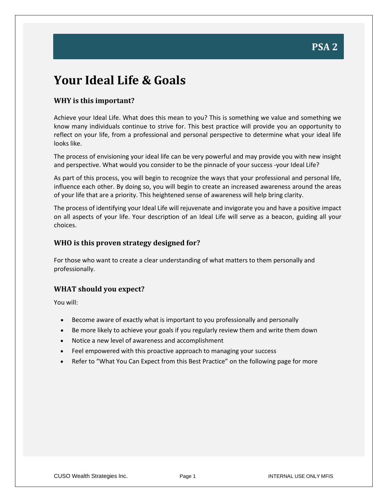### **Your Ideal Life & Goals**

#### **WHY is this important?**

**Set Your Goals** 

Achieve your Ideal Life. What does this mean to you? This is something we value and something we know many individuals continue to strive for. This best practice will provide you an opportunity to reflect on your life, from a professional and personal perspective to determine what your ideal life looks like.

The process of envisioning your ideal life can be very powerful and may provide you with new insight and perspective. What would you consider to be the pinnacle of your success -your Ideal Life?

As part of this process, you will begin to recognize the ways that your professional and personal life, influence each other. By doing so, you will begin to create an increased awareness around the areas of your life that are a priority. This heightened sense of awareness will help bring clarity.

The process of identifying your Ideal Life will rejuvenate and invigorate you and have a positive impact on all aspects of your life. Your description of an Ideal Life will serve as a beacon, guiding all your choices.

#### **WHO is this proven strategy designed for?**

For those who want to create a clear understanding of what matters to them personally and professionally.

#### **WHAT should you expect?**

You will:

- Become aware of exactly what is important to you professionally and personally
- Be more likely to achieve your goals if you regularly review them and write them down
- Notice a new level of awareness and accomplishment
- Feel empowered with this proactive approach to managing your success
- Refer to "What You Can Expect from this Best Practice" on the following page for more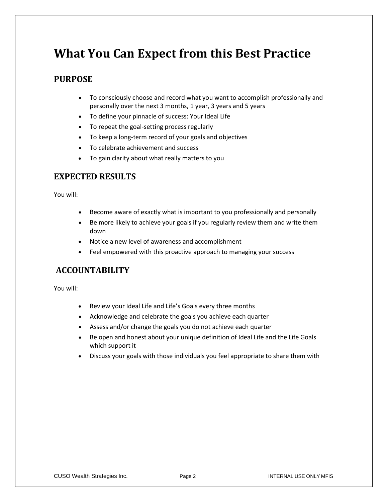### **What You Can Expect from this Best Practice**

#### **PURPOSE**

- To consciously choose and record what you want to accomplish professionally and personally over the next 3 months, 1 year, 3 years and 5 years
- To define your pinnacle of success: Your Ideal Life
- To repeat the goal-setting process regularly
- To keep a long-term record of your goals and objectives
- To celebrate achievement and success
- To gain clarity about what really matters to you

#### **EXPECTED RESULTS**

You will:

- Become aware of exactly what is important to you professionally and personally
- Be more likely to achieve your goals if you regularly review them and write them down
- Notice a new level of awareness and accomplishment
- Feel empowered with this proactive approach to managing your success

#### **ACCOUNTABILITY**

You will:

- Review your Ideal Life and Life's Goals every three months
- Acknowledge and celebrate the goals you achieve each quarter
- Assess and/or change the goals you do not achieve each quarter
- Be open and honest about your unique definition of Ideal Life and the Life Goals which support it
- Discuss your goals with those individuals you feel appropriate to share them with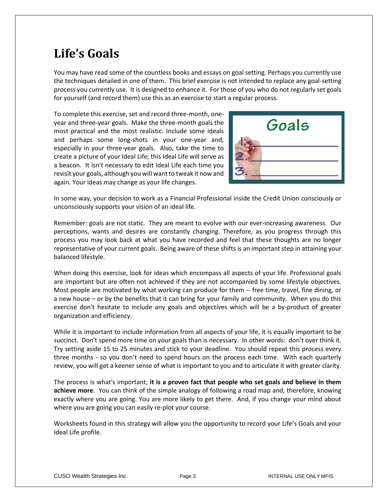# **Life's Goals**

You may have read some of the countless books and essays on goal setting. Perhaps you currently use the techniques detailed in one of them. This brief exercise is not intended to replace any goal-setting process you currently use. It is designed to enhance it. For those of you who do not regularly set goals for yourself (and record them) use this as an exercise to start a regular process.

To complete this exercise, set and record three-month, oneyear and three-year goals. Make the three-month goals the most practical and the most realistic. Include some ideals and perhaps some long-shots in your one-year and, especially in your three-year goals. Also, take the time to create a picture of your Ideal Life; this Ideal Life will serve as a beacon. It isn't necessary to edit Ideal Life each time you revisit your goals, although you will want to tweak it now and again. Your ideas may change as your life changes.



In some way, your decision to work as a Financial Professional inside the Credit Union consciously or unconsciously supports your vision of an ideal life.

Remember: goals are not static. They are meant to evolve with our ever-increasing awareness. Our perceptions, wants and desires are constantly changing. Therefore, as you progress through this process you may look back at what you have recorded and feel that these thoughts are no longer representative of your current goals. Being aware of these shifts is an important step in attaining your balanced lifestyle.

When doing this exercise, look for ideas which encompass all aspects of your life. Professional goals are important but are often not achieved if they are not accompanied by some lifestyle objectives. Most people are motivated by what working can produce for them -- free time, travel, fine dining, or a new house – or by the benefits that it can bring for your family and community. When you do this exercise don't hesitate to include any goals and objectives which will be a by-product of greater organization and efficiency.

While it is important to include information from all aspects of your life, it is equally important to be succinct. Don't spend more time on your goals than is necessary. In other words: don't over think it. Try setting aside 15 to 25 minutes and stick to your deadline. You should repeat this process every three months - so you don't need to spend hours on the process each time. With each quarterly review, you will get a keener sense of what is important to you and to articulate it with greater clarity.

The process is what's important; **it is a proven fact that people who set goals and believe in them achieve more**. You can think of the simple analogy of following a road map and, therefore, knowing exactly where you are going. You are more likely to get there. And, if you change your mind about where you are going you can easily re-plot your course.

Worksheets found in this strategy will allow you the opportunity to record your Life's Goals and your Ideal Life profile.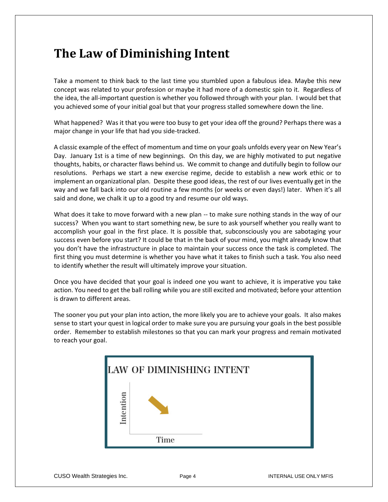### **The Law of Diminishing Intent**

Take a moment to think back to the last time you stumbled upon a fabulous idea. Maybe this new concept was related to your profession or maybe it had more of a domestic spin to it. Regardless of the idea, the all-important question is whether you followed through with your plan. I would bet that you achieved some of your initial goal but that your progress stalled somewhere down the line.

What happened? Was it that you were too busy to get your idea off the ground? Perhaps there was a major change in your life that had you side-tracked.

A classic example of the effect of momentum and time on your goals unfolds every year on New Year's Day. January 1st is a time of new beginnings. On this day, we are highly motivated to put negative thoughts, habits, or character flaws behind us. We commit to change and dutifully begin to follow our resolutions. Perhaps we start a new exercise regime, decide to establish a new work ethic or to implement an organizational plan. Despite these good ideas, the rest of our lives eventually get in the way and we fall back into our old routine a few months (or weeks or even days!) later. When it's all said and done, we chalk it up to a good try and resume our old ways.

What does it take to move forward with a new plan -- to make sure nothing stands in the way of our success? When you want to start something new, be sure to ask yourself whether you really want to accomplish your goal in the first place. It is possible that, subconsciously you are sabotaging your success even before you start? It could be that in the back of your mind, you might already know that you don't have the infrastructure in place to maintain your success once the task is completed. The first thing you must determine is whether you have what it takes to finish such a task. You also need to identify whether the result will ultimately improve your situation.

Once you have decided that your goal is indeed one you want to achieve, it is imperative you take action. You need to get the ball rolling while you are still excited and motivated; before your attention is drawn to different areas.

The sooner you put your plan into action, the more likely you are to achieve your goals. It also makes sense to start your quest in logical order to make sure you are pursuing your goals in the best possible order. Remember to establish milestones so that you can mark your progress and remain motivated to reach your goal.

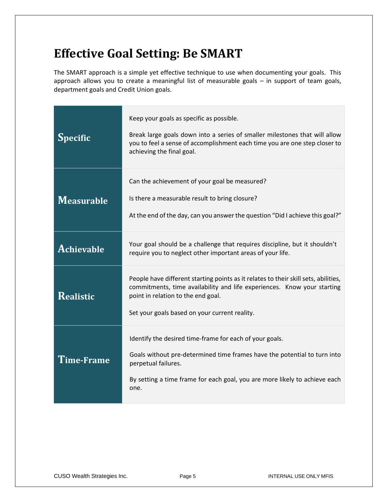# **Effective Goal Setting: Be SMART**

The SMART approach is a simple yet effective technique to use when documenting your goals. This approach allows you to create a meaningful list of measurable goals – in support of team goals, department goals and Credit Union goals.

| <b>Specific</b>   | Keep your goals as specific as possible.<br>Break large goals down into a series of smaller milestones that will allow<br>you to feel a sense of accomplishment each time you are one step closer to<br>achieving the final goal.                     |
|-------------------|-------------------------------------------------------------------------------------------------------------------------------------------------------------------------------------------------------------------------------------------------------|
| <b>Measurable</b> | Can the achievement of your goal be measured?<br>Is there a measurable result to bring closure?<br>At the end of the day, can you answer the question "Did I achieve this goal?"                                                                      |
| <b>Achievable</b> | Your goal should be a challenge that requires discipline, but it shouldn't<br>require you to neglect other important areas of your life.                                                                                                              |
| Realistic         | People have different starting points as it relates to their skill sets, abilities,<br>commitments, time availability and life experiences. Know your starting<br>point in relation to the end goal.<br>Set your goals based on your current reality. |
| Time-Frame        | Identify the desired time-frame for each of your goals.<br>Goals without pre-determined time frames have the potential to turn into<br>perpetual failures.<br>By setting a time frame for each goal, you are more likely to achieve each<br>one.      |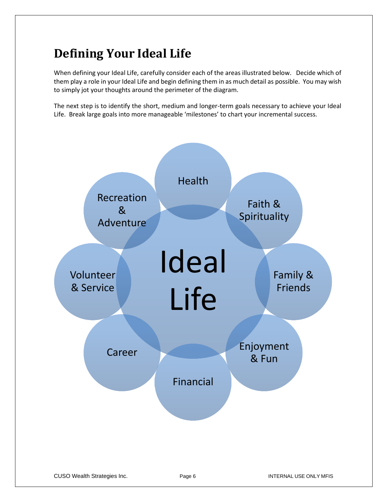# **Defining Your Ideal Life**

When defining your Ideal Life, carefully consider each of the areas illustrated below. Decide which of them play a role in your Ideal Life and begin defining them in as much detail as possible. You may wish to simply jot your thoughts around the perimeter of the diagram.

The next step is to identify the short, medium and longer-term goals necessary to achieve your Ideal Life. Break large goals into more manageable 'milestones' to chart your incremental success.

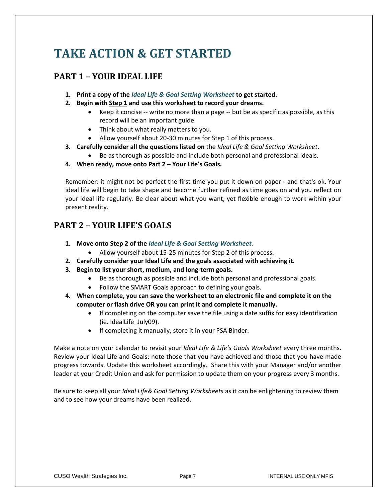# **TAKE ACTION & GET STARTED**

### **PART 1 – YOUR IDEAL LIFE**

- **1. Print a copy of the** *Ideal Life & Goal Setting Worksheet* **to get started.**
- **2. Begin with Step 1 and use this worksheet to record your dreams.** 
	- Keep it concise -- write no more than a page -- but be as specific as possible, as this record will be an important guide.
	- Think about what really matters to you.
	- Allow yourself about 20-30 minutes for Step 1 of this process.
- **3. Carefully consider all the questions listed on** the *Ideal Life & Goal Setting Worksheet*.
	- Be as thorough as possible and include both personal and professional ideals.
- **4. When ready, move onto Part 2 – Your Life's Goals.**

Remember: it might not be perfect the first time you put it down on paper - and that's ok. Your ideal life will begin to take shape and become further refined as time goes on and you reflect on your ideal life regularly. Be clear about what you want, yet flexible enough to work within your present reality.

#### **PART 2 – YOUR LIFE'S GOALS**

- **1. Move onto Step 2 of the** *Ideal Life & Goal Setting Worksheet*.
	- Allow yourself about 15-25 minutes for Step 2 of this process.
- **2. Carefully consider your Ideal Life and the goals associated with achieving it.**
- **3. Begin to list your short, medium, and long-term goals.** 
	- Be as thorough as possible and include both personal and professional goals.
	- Follow the SMART Goals approach to defining your goals.
- **4. When complete, you can save the worksheet to an electronic file and complete it on the computer or flash drive OR you can print it and complete it manually.** 
	- If completing on the computer save the file using a date suffix for easy identification (ie. IdealLife\_July09).
	- If completing it manually, store it in your PSA Binder.

Make a note on your calendar to revisit your *Ideal Life & Life's Goals Worksheet* every three months. Review your Ideal Life and Goals: note those that you have achieved and those that you have made progress towards. Update this worksheet accordingly. Share this with your Manager and/or another leader at your Credit Union and ask for permission to update them on your progress every 3 months.

Be sure to keep all your *Ideal Life& Goal Setting Worksheets* as it can be enlightening to review them and to see how your dreams have been realized.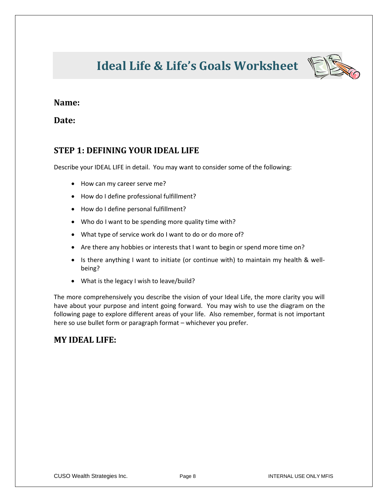# **Ideal Life & Life's Goals Worksheet**



#### **Name:**

**Date:**

#### **STEP 1: DEFINING YOUR IDEAL LIFE**

Describe your IDEAL LIFE in detail. You may want to consider some of the following:

- How can my career serve me?
- How do I define professional fulfillment?
- How do I define personal fulfillment?
- Who do I want to be spending more quality time with?
- What type of service work do I want to do or do more of?
- Are there any hobbies or interests that I want to begin or spend more time on?
- Is there anything I want to initiate (or continue with) to maintain my health & wellbeing?
- What is the legacy I wish to leave/build?

The more comprehensively you describe the vision of your Ideal Life, the more clarity you will have about your purpose and intent going forward. You may wish to use the diagram on the following page to explore different areas of your life. Also remember, format is not important here so use bullet form or paragraph format – whichever you prefer.

#### **MY IDEAL LIFE:**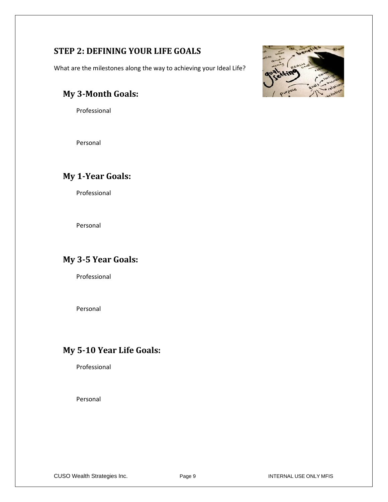### **STEP 2: DEFINING YOUR LIFE GOALS**

What are the milestones along the way to achieving your Ideal Life?

### **My 3-Month Goals:**

Professional

Personal

### **My 1-Year Goals:**

Professional

Personal

### **My 3-5 Year Goals:**

Professional

Personal

### **My 5-10 Year Life Goals:**

Professional

Personal



CUSO Wealth Strategies Inc. The Realth Strategies Inc. The Page 9 INTERNAL USE ONLY MFIS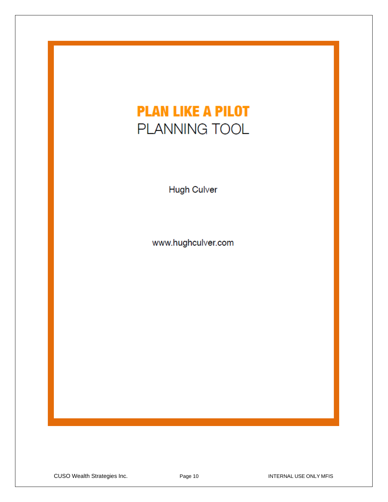# **PLAN LIKE A PILOT** PLANNING TOOL

Hugh Culver

www.hughculver.com

CUSO Wealth Strategies Inc. The Page 10 Page 10 INTERNAL USE ONLY MFIS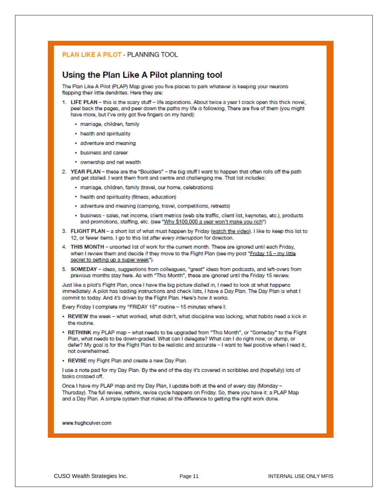#### PLAN LIKE A PILOT - PLANNING TOOL

#### Using the Plan Like A Pilot planning tool

The Plan Like A Pilot (PLAP) Map gives you five places to park whatever is keeping your neurons flapping their little dendrites. Here they are:

- 1. LIFE PLAN this is the scary stuff life aspirations. About twice a year I crack open this thick novel, peel back the pages, and peer down the paths my life is following. There are five of them (you might have more, but I've only got five fingers on my hand):
	- · marriage, children, family
	- health and spirituality
	- · adventure and meaning
	- business and career
	- ownership and net wealth
- 2. YEAR PLAN these are the "Boulders" the big stuff I want to happen that often rolls off the path and get stalled. I want them front and centre and challenging me. That list includes:
	- · marriage, children, family (travel, our home, celebrations)
	- health and spirituality (fitness, education)
	- · adventure and meaning (camping, travel, competitions, retreats)
	- · business sales, net income, client metrics (web site traffic, client list, keynotes, etc.), products and promotions, staffing, etc. (see "Why \$100,000 a year won't make you rich")
- 3. FLIGHT PLAN a short list of what must happen by Friday (watch the video). I like to keep this list to 12, or fewer items. I go to this list after every interruption for direction.
- 4. THIS MONTH unsorted list of work for the current month. These are ignored until each Friday, when I review them and decide if they move to the Flight Plan (see my post "Friday 15 - my little secret to setting up a super week").
- 5. SOMEDAY ideas, suggestions from colleagues, "great" ideas from podcasts, and left-overs from previous months stay here. As with "This Month", these are ignored until the Friday 15 review.

Just like a pilot's Flight Plan, once I have the big picture dialled in, I need to look at what happens immediately. A pilot has loading instructions and check lists, I have a Day Plan. The Day Plan is what I commit to today. And it's driven by the Flight Plan. Here's how it works.

Every Friday I complete my "FRIDAY 15" routine - 15 minutes where I:

- . REVIEW the week what worked, what didn't, what discipline was lacking, what habits need a kick in the routine.
- RETHINK my PLAP map what needs to be upgraded from "This Month", or "Someday" to the Flight Plan, what needs to be down-graded. What can I delegate? What can I do right now, or dump, or defer? My goal is for the Flight Plan to be realistic and accurate - I want to feel positive when I read it, not overwhelmed.
- REVISE my Flight Plan and create a new Day Plan.

I use a note pad for my Day Plan. By the end of the day it's covered in scribbles and (hopefully) lots of tasks crossed off.

Once I have my PLAP map and my Day Plan, I update both at the end of every day (Monday -Thursday). The full review, rethink, revise cycle happens on Friday. So, there you have it: a PLAP Map and a Day Plan. A simple system that makes all the difference to getting the right work done.

www.hughculver.com